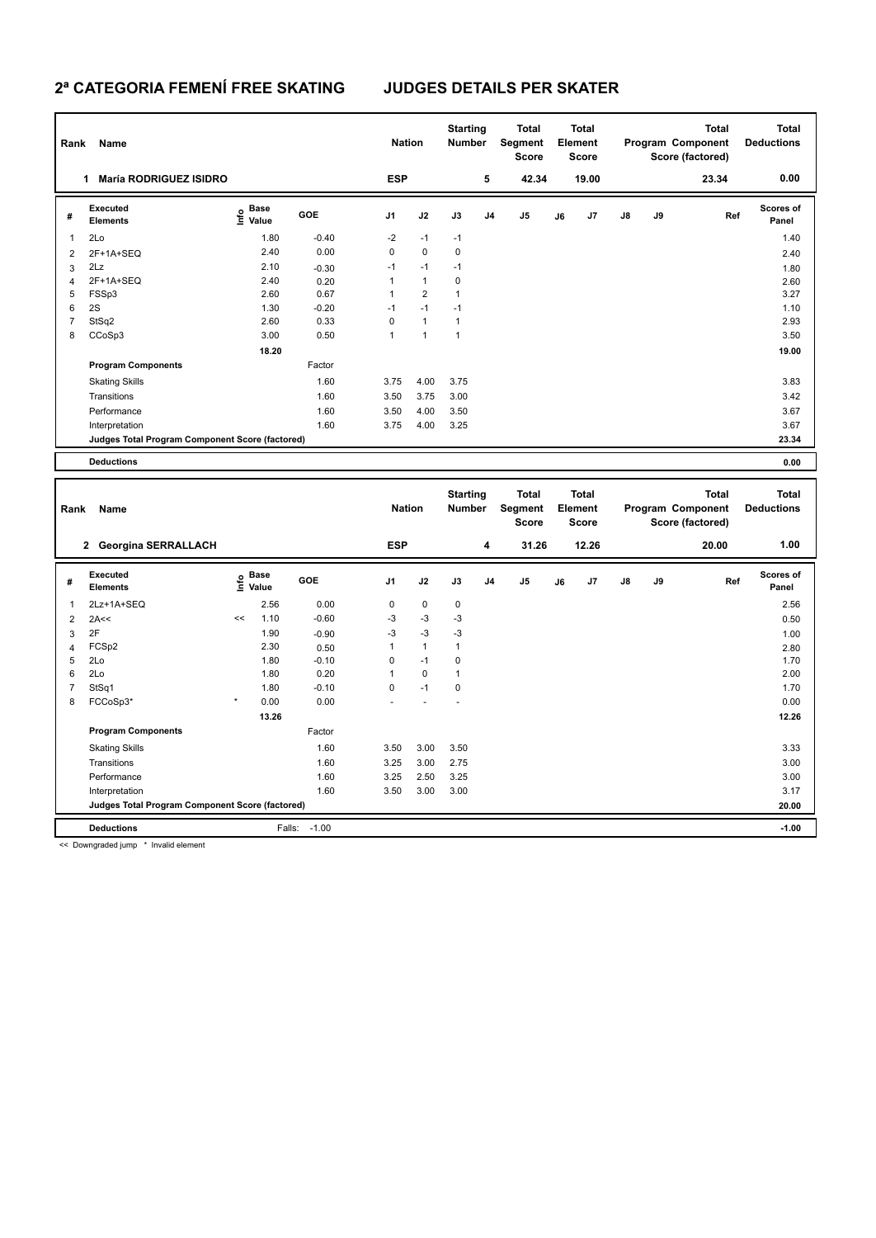## **2ª CATEGORIA FEMENÍ FREE SKATING JUDGES DETAILS PER SKATER**

| Rank           | Name                                            |                                  |         | <b>Nation</b>  |                      | <b>Starting</b><br><b>Number</b> |                | Total<br>Segment<br><b>Score</b> |    | <b>Total</b><br>Element<br><b>Score</b> |               |    | Total<br>Program Component<br>Score (factored) | <b>Total</b><br><b>Deductions</b> |
|----------------|-------------------------------------------------|----------------------------------|---------|----------------|----------------------|----------------------------------|----------------|----------------------------------|----|-----------------------------------------|---------------|----|------------------------------------------------|-----------------------------------|
|                | <b>María RODRIGUEZ ISIDRO</b><br>1              |                                  |         | <b>ESP</b>     |                      |                                  | 5              | 42.34                            |    | 19.00                                   |               |    | 23.34                                          | 0.00                              |
| #              | Executed<br><b>Elements</b>                     | <b>Base</b><br>o Base<br>⊆ Value | GOE     | J <sub>1</sub> | J2                   | J3                               | J <sub>4</sub> | J <sub>5</sub>                   | J6 | J7                                      | $\mathsf{J}8$ | J9 | Ref                                            | <b>Scores of</b><br>Panel         |
| 1              | 2Lo                                             | 1.80                             | $-0.40$ | $-2$           | $-1$                 | $-1$                             |                |                                  |    |                                         |               |    |                                                | 1.40                              |
| 2              | 2F+1A+SEQ                                       | 2.40                             | 0.00    | 0              | $\mathbf 0$          | 0                                |                |                                  |    |                                         |               |    |                                                | 2.40                              |
| 3              | 2Lz                                             | 2.10                             | $-0.30$ | $-1$           | $-1$                 | $-1$                             |                |                                  |    |                                         |               |    |                                                | 1.80                              |
| $\overline{4}$ | 2F+1A+SEQ                                       | 2.40                             | 0.20    | 1              | $\mathbf{1}$         | 0                                |                |                                  |    |                                         |               |    |                                                | 2.60                              |
| 5              | FSSp3                                           | 2.60                             | 0.67    | 1              | $\overline{2}$       | 1                                |                |                                  |    |                                         |               |    |                                                | 3.27                              |
| 6              | 2S                                              | 1.30                             | $-0.20$ | $-1$           | $-1$                 | $-1$                             |                |                                  |    |                                         |               |    |                                                | 1.10                              |
| 7              | StSq2                                           | 2.60                             | 0.33    | 0              | $\mathbf{1}$         | $\overline{1}$                   |                |                                  |    |                                         |               |    |                                                | 2.93                              |
| 8              | CCoSp3                                          | 3.00                             | 0.50    | 1              | $\blacktriangleleft$ | $\overline{1}$                   |                |                                  |    |                                         |               |    |                                                | 3.50                              |
|                |                                                 | 18.20                            |         |                |                      |                                  |                |                                  |    |                                         |               |    |                                                | 19.00                             |
|                | <b>Program Components</b>                       |                                  | Factor  |                |                      |                                  |                |                                  |    |                                         |               |    |                                                |                                   |
|                | <b>Skating Skills</b>                           |                                  | 1.60    | 3.75           | 4.00                 | 3.75                             |                |                                  |    |                                         |               |    |                                                | 3.83                              |
|                | Transitions                                     |                                  | 1.60    | 3.50           | 3.75                 | 3.00                             |                |                                  |    |                                         |               |    |                                                | 3.42                              |
|                | Performance                                     |                                  | 1.60    | 3.50           | 4.00                 | 3.50                             |                |                                  |    |                                         |               |    |                                                | 3.67                              |
|                | Interpretation                                  |                                  | 1.60    | 3.75           | 4.00                 | 3.25                             |                |                                  |    |                                         |               |    |                                                | 3.67                              |
|                | Judges Total Program Component Score (factored) |                                  |         |                |                      |                                  |                |                                  |    |                                         |               |    |                                                | 23.34                             |
|                | <b>Deductions</b>                               |                                  |         |                |                      |                                  |                |                                  |    |                                         |               |    |                                                | 0.00                              |

| Rank | Name                                            |         |                                             |         |                | <b>Nation</b> |             | <b>Starting</b><br><b>Number</b> | <b>Total</b><br>Segment<br><b>Score</b> | Total<br>Element<br><b>Score</b> |                |               |    | <b>Total</b><br>Program Component<br>Score (factored) | <b>Total</b><br><b>Deductions</b> |
|------|-------------------------------------------------|---------|---------------------------------------------|---------|----------------|---------------|-------------|----------------------------------|-----------------------------------------|----------------------------------|----------------|---------------|----|-------------------------------------------------------|-----------------------------------|
|      | <b>Georgina SERRALLACH</b><br>$\mathbf{2}$      |         |                                             |         | <b>ESP</b>     |               |             | 4                                | 31.26                                   |                                  | 12.26          |               |    | 20.00                                                 | 1.00                              |
| #    | Executed<br><b>Elements</b>                     |         | <b>Base</b><br>e <sup>Base</sup><br>⊆ Value | GOE     | J <sub>1</sub> | J2            | J3          | J <sub>4</sub>                   | J5                                      | J6                               | J <sub>7</sub> | $\mathsf{J}8$ | J9 | Ref                                                   | <b>Scores of</b><br>Panel         |
| 1    | 2Lz+1A+SEQ                                      |         | 2.56                                        | 0.00    | 0              | $\mathbf 0$   | 0           |                                  |                                         |                                  |                |               |    |                                                       | 2.56                              |
| 2    | 2A<<                                            | <<      | 1.10                                        | $-0.60$ | $-3$           | $-3$          | $-3$        |                                  |                                         |                                  |                |               |    |                                                       | 0.50                              |
| 3    | 2F                                              |         | 1.90                                        | $-0.90$ | $-3$           | $-3$          | $-3$        |                                  |                                         |                                  |                |               |    |                                                       | 1.00                              |
| 4    | FCSp2                                           |         | 2.30                                        | 0.50    | 1              | $\mathbf{1}$  | 1           |                                  |                                         |                                  |                |               |    |                                                       | 2.80                              |
| 5    | 2Lo                                             |         | 1.80                                        | $-0.10$ | 0              | $-1$          | $\mathbf 0$ |                                  |                                         |                                  |                |               |    |                                                       | 1.70                              |
| 6    | 2Lo                                             |         | 1.80                                        | 0.20    | 1              | $\mathbf 0$   | 1           |                                  |                                         |                                  |                |               |    |                                                       | 2.00                              |
| 7    | StSq1                                           |         | 1.80                                        | $-0.10$ | 0              | $-1$          | $\mathbf 0$ |                                  |                                         |                                  |                |               |    |                                                       | 1.70                              |
| 8    | FCCoSp3*                                        | $\star$ | 0.00                                        | 0.00    |                |               |             |                                  |                                         |                                  |                |               |    |                                                       | 0.00                              |
|      |                                                 |         | 13.26                                       |         |                |               |             |                                  |                                         |                                  |                |               |    |                                                       | 12.26                             |
|      | <b>Program Components</b>                       |         |                                             | Factor  |                |               |             |                                  |                                         |                                  |                |               |    |                                                       |                                   |
|      | <b>Skating Skills</b>                           |         |                                             | 1.60    | 3.50           | 3.00          | 3.50        |                                  |                                         |                                  |                |               |    |                                                       | 3.33                              |
|      | Transitions                                     |         |                                             | 1.60    | 3.25           | 3.00          | 2.75        |                                  |                                         |                                  |                |               |    |                                                       | 3.00                              |
|      | Performance                                     |         |                                             | 1.60    | 3.25           | 2.50          | 3.25        |                                  |                                         |                                  |                |               |    |                                                       | 3.00                              |
|      | Interpretation                                  |         |                                             | 1.60    | 3.50           | 3.00          | 3.00        |                                  |                                         |                                  |                |               |    |                                                       | 3.17                              |
|      | Judges Total Program Component Score (factored) |         |                                             |         |                |               |             |                                  |                                         |                                  |                | 20.00         |    |                                                       |                                   |
|      | <b>Deductions</b>                               |         | Falls:                                      | $-1.00$ |                |               |             |                                  |                                         |                                  |                |               |    |                                                       | $-1.00$                           |

<< Downgraded jump \* Invalid element